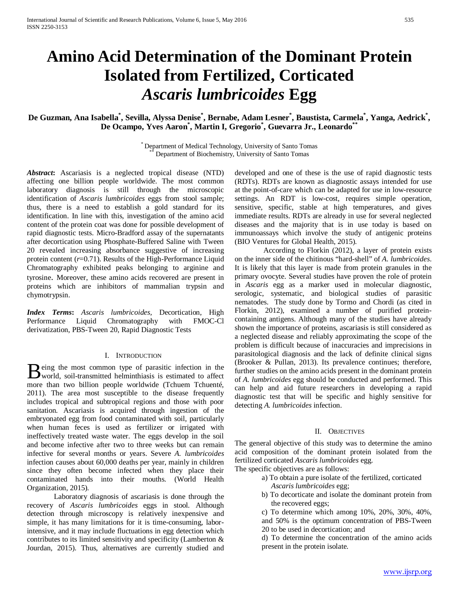# **Amino Acid Determination of the Dominant Protein Isolated from Fertilized, Corticated**  *Ascaris lumbricoides* **Egg**

De Guzman, Ana Isabella\*, Sevilla, Alyssa Denise\*, Bernabe, Adam Lesner\*, Baustista, Carmela\*, Yanga, Aedrick\*, **De Ocampo, Yves Aaron\* , Martin I, Gregorio\* , Guevarra Jr., Leonardo\*\***

\* Department of Medical Technology, University of Santo Tomas \*\* Department of Biochemistry, University of Santo Tomas

*Abstract***:** Ascariasis is a neglected tropical disease (NTD) affecting one billion people worldwide. The most common laboratory diagnosis is still through the microscopic identification of *Ascaris lumbricoides* eggs from stool sample; thus, there is a need to establish a gold standard for its identification. In line with this, investigation of the amino acid content of the protein coat was done for possible development of rapid diagnostic tests. Micro-Bradford assay of the supernatants after decortication using Phosphate-Buffered Saline with Tween 20 revealed increasing absorbance suggestive of increasing protein content (*r*=0.71). Results of the High-Performance Liquid Chromatography exhibited peaks belonging to arginine and tyrosine. Moreover, these amino acids recovered are present in proteins which are inhibitors of mammalian trypsin and chymotrypsin.

*Index Terms***:** *Ascaris lumbricoides,* Decortication, High Performance Liquid Chromatography with FMOC-Cl derivatization, PBS-Tween 20, Rapid Diagnostic Tests

# I. INTRODUCTION

eing the most common type of parasitic infection in the  $\mathbf{B}$  eing the most common type of parasitic infection in the world, soil-transmitted helminthiasis is estimated to affect more than two billion people worldwide (Tchuem [Tchuenté,](http://www.sciencedirect.com/science/article/pii/S0001706X10001828) 2011). The area most susceptible to the disease frequently includes tropical and subtropical regions and those with poor sanitation*.* Ascariasis is acquired through ingestion of the embryonated egg from food contaminated with soil, particularly when human feces is used as fertilizer or irrigated with ineffectively treated waste water*.* The eggs develop in the soil and become infective after two to three weeks but can remain infective for several months or years. Severe *A. lumbricoides*  infection causes about 60,000 deaths per year, mainly in children since they often become infected when they place their contaminated hands into their mouths. (World Health Organization, 2015)*.*

Laboratory diagnosis of ascariasis is done through the recovery of *Ascaris lumbricoides* eggs in stool*.* Although detection through microscopy is relatively inexpensive and simple, it has many limitations for it is time-consuming, laborintensive, and it may include fluctuations in egg detection which contributes to its limited sensitivity and specificity (Lamberton & Jourdan, 2015). Thus, alternatives are currently studied and developed and one of these is the use of rapid diagnostic tests (RDTs). RDTs are known as diagnostic assays intended for use at the point-of-care which can be adapted for use in low-resource settings. An RDT is low-cost, requires simple operation, sensitive, specific, stable at high temperatures, and gives immediate results. RDTs are already in use for several neglected diseases and the majority that is in use today is based on immunoassays which involve the study of antigenic proteins (BIO Ventures for Global Health, 2015).

According to Florkin (2012), a layer of protein exists on the inner side of the chitinous "hard-shell" of *A. lumbricoides*. It is likely that this layer is made from protein granules in the primary ovocyte. Several studies have proven the role of protein in *Ascaris* egg as a marker used in molecular diagnostic, serologic, systematic, and biological studies of parasitic nematodes.The study done by Tormo and Chordi (as cited in Florkin, 2012), examined a number of purified proteincontaining antigens. Although many of the studies have already shown the importance of proteins, ascariasis is still considered as a neglected disease and reliably approximating the scope of the problem is difficult because of inaccuracies and imprecisions in parasitological diagnosis and the lack of definite clinical signs (Brooker & Pullan, 2013). Its prevalence continues; therefore, further studies on the amino acids present in the dominant protein of *A. lumbricoides* egg should be conducted and performed. This can help and aid future researchers in developing a rapid diagnostic test that will be specific and highly sensitive for detecting *A. lumbricoides* infection.

# II. OBJECTIVES

The general objective of this study was to determine the amino acid composition of the dominant protein isolated from the fertilized corticated *Ascaris lumbricoides* egg. The specific objectives are as follows:

- a) To obtain a pure isolate of the fertilized, corticated
	- *Ascaris lumbricoides* egg;
	- b) To decorticate and isolate the dominant protein from the recovered eggs;
	- c) To determine which among 10%, 20%, 30%, 40%, and 50% is the optimum concentration of PBS-Tween 20 to be used in decortication; and

d) To determine the concentration of the amino acids present in the protein isolate.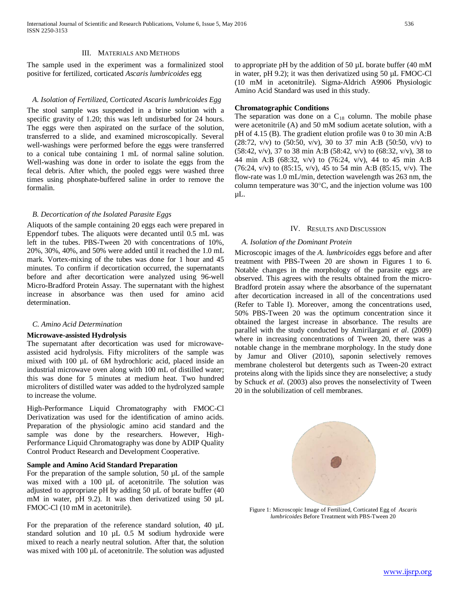### III. MATERIALS AND METHODS

The sample used in the experiment was a formalinized stool positive for fertilized, corticated *Ascaris lumbricoides* egg

# *A. Isolation of Fertilized, Corticated Ascaris lumbricoides Egg*

The stool sample was suspended in a brine solution with a specific gravity of 1.20; this was left undisturbed for 24 hours. The eggs were then aspirated on the surface of the solution, transferred to a slide, and examined microscopically. Several well-washings were performed before the eggs were transferred to a conical tube containing 1 mL of normal saline solution. Well-washing was done in order to isolate the eggs from the fecal debris. After which, the pooled eggs were washed three times using phosphate-buffered saline in order to remove the formalin.

# *B. Decortication of the Isolated Parasite Eggs*

Aliquots of the sample containing 20 eggs each were prepared in Eppendorf tubes. The aliquots were decanted until 0.5 mL was left in the tubes. PBS-Tween 20 with concentrations of 10%, 20%, 30%, 40%, and 50% were added until it reached the 1.0 mL mark. Vortex-mixing of the tubes was done for 1 hour and 45 minutes. To confirm if decortication occurred, the supernatants before and after decortication were analyzed using 96-well Micro-Bradford Protein Assay. The supernatant with the highest increase in absorbance was then used for amino acid determination.

# *C. Amino Acid Determination*

### **Microwave-assisted Hydrolysis**

The supernatant after decortication was used for microwaveassisted acid hydrolysis. Fifty microliters of the sample was mixed with 100 µL of 6M hydrochloric acid, placed inside an industrial microwave oven along with 100 mL of distilled water; this was done for 5 minutes at medium heat. Two hundred microliters of distilled water was added to the hydrolyzed sample to increase the volume.

High-Performance Liquid Chromatography with FMOC-Cl Derivatization was used for the identification of amino acids. Preparation of the physiologic amino acid standard and the sample was done by the researchers. However, High-Performance Liquid Chromatography was done by ADIP Quality Control Product Research and Development Cooperative.

# **Sample and Amino Acid Standard Preparation**

For the preparation of the sample solution, 50 µL of the sample was mixed with a 100 µL of acetonitrile. The solution was adjusted to appropriate pH by adding 50 µL of borate buffer (40 mM in water, pH 9.2). It was then derivatized using 50  $\mu$ L FMOC-Cl (10 mM in acetonitrile).

For the preparation of the reference standard solution, 40 µL standard solution and 10 µL 0.5 M sodium hydroxide were mixed to reach a nearly neutral solution. After that, the solution was mixed with 100 µL of acetonitrile. The solution was adjusted to appropriate pH by the addition of 50 µL borate buffer (40 mM in water, pH 9.2); it was then derivatized using 50 µL FMOC-Cl (10 mM in acetonitrile). Sigma-Aldrich A9906 Physiologic Amino Acid Standard was used in this study.

# **Chromatographic Conditions**

The separation was done on a  $C_{18}$  column. The mobile phase were acetonitrile (A) and 50 mM sodium acetate solution, with a pH of 4.15 (B). The gradient elution profile was 0 to 30 min A:B (28:72, v/v) to (50:50, v/v), 30 to 37 min A:B (50:50, v/v) to (58:42, v/v), 37 to 38 min A:B (58:42, v/v) to (68:32, v/v), 38 to 44 min A:B (68:32, v/v) to (76:24, v/v), 44 to 45 min A:B (76:24, v/v) to (85:15, v/v), 45 to 54 min A:B (85:15, v/v). The flow-rate was 1.0 mL/min, detection wavelength was 263 nm, the column temperature was 30°C, and the injection volume was 100 µL.

#### IV. RESULTS AND DISCUSSION

# *A. Isolation of the Dominant Protein*

Microscopic images of the *A. lumbricoides* eggs before and after treatment with PBS-Tween 20 are shown in Figures 1 to 6. Notable changes in the morphology of the parasite eggs are observed. This agrees with the results obtained from the micro-Bradford protein assay where the absorbance of the supernatant after decortication increased in all of the concentrations used (Refer to Table I). Moreover, among the concentrations used, 50% PBS-Tween 20 was the optimum concentration since it obtained the largest increase in absorbance. The results are parallel with the study conducted by Amirilargani *et al*. (2009) where in increasing concentrations of Tween 20, there was a notable change in the membrane morphology. In the study done by Jamur and Oliver (2010), saponin selectively removes membrane cholesterol but detergents such as Tween-20 extract proteins along with the lipids since they are nonselective; a study by Schuck *et al.* (2003) also proves the nonselectivity of Tween 20 in the solubilization of cell membranes.



Figure 1: Microscopic Image of Fertilized, Corticated Egg of *Ascaris lumbricoides* Before Treatment with PBS-Tween 20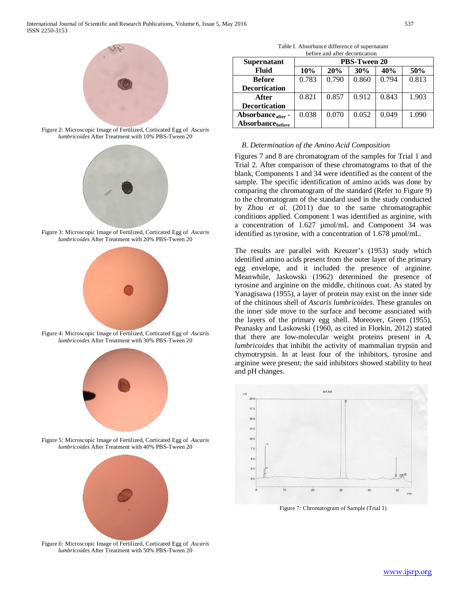

Figure 2: Microscopic Image of Fertilized, Corticated Egg of *Ascaris lumbricoides* After Treatment with 10% PBS-Tween 20



Figure 3: Microscopic Image of Fertilized, Corticated Egg of *Ascaris lumbricoides* After Treatment with 20% PBS-Tween 20



Figure 4: Microscopic Image of Fertilized, Corticated Egg of *Ascaris lumbricoides* After Treatment with 30% PBS-Tween 20



Figure 5: Microscopic Image of Fertilized, Corticated Egg of *Ascaris lumbricoides* After Treatment with 40% PBS-Tween 20



Figure 6: Microscopic Image of Fertilized, Corticated Egg of *Ascaris lumbricoides* After Treatment with 50% PBS-Tween 20

| Table I. Absorbance difference of supernatant |
|-----------------------------------------------|
| before and after decortication                |

| <u>ociói cana anoi accordeanon</u> |                     |       |       |       |       |  |
|------------------------------------|---------------------|-------|-------|-------|-------|--|
| <b>Supernatant</b>                 | <b>PBS-Tween 20</b> |       |       |       |       |  |
| Fluid                              | 10%                 | 20%   | 30%   | 40%   | 50%   |  |
| <b>Before</b>                      | 0.783               | 0.790 | 0.860 | 0.794 | 0.813 |  |
| <b>Decortication</b>               |                     |       |       |       |       |  |
| After                              | 0.821               | 0.857 | 0.912 | 0.843 | 1.903 |  |
| <b>Decortication</b>               |                     |       |       |       |       |  |
| Absorbance after -                 | 0.038               | 0.070 | 0.052 | 0.049 | 1.090 |  |
| Absorbance <sub>before</sub>       |                     |       |       |       |       |  |

# *B. Determination of the Amino Acid Composition*

Figures 7 and 8 are chromatogram of the samples for Trial 1 and Trial 2. After comparison of these chromatograms to that of the blank, Components 1 and 34 were identified as the content of the sample. The specific identification of amino acids was done by comparing the chromatogram of the standard (Refer to Figure 9) to the chromatogram of the standard used in the study conducted by Zhou *et al.* (2011) due to the same chromatographic conditions applied. Component 1 was identified as arginine, with a concentration of 1.627 µmol/mL and Component 34 was identified as tyrosine, with a concentration of 1.678 µmol/mL.

The results are parallel with Kreuzer's (1953) study which identified amino acids present from the outer layer of the primary egg envelope, and it included the presence of arginine. Meanwhile, Jaskowski (1962) determined the presence of tyrosine and arginine on the middle, chitinous coat. As stated by Yanagisawa (1955), a layer of protein may exist on the inner side of the chitinous shell of *Ascaris lumbricoides*. These granules on the inner side move to the surface and become associated with the layers of the primary egg shell. Moreover, Green (1955), Peanasky and Laskowski (1960, as cited in Florkin, 2012) stated that there are low-molecular weight proteins present in *A. lumbricoides* that inhibit the activity of mammalian trypsin and chymotrypsin. In at least four of the inhibitors, tyrosine and arginine were present; the said inhibitors showed stability to heat and pH changes.



Figure 7: Chromatogram of Sample (Trial 1)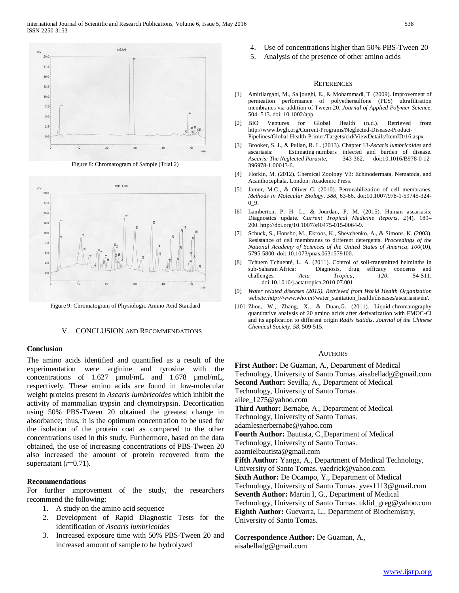

Figure 8: Chromatogram of Sample (Trial 2)



Figure 9: Chromatogram of Physiologic Amino Acid Standard

## V. CONCLUSION AND RECOMMENDATIONS

## **Conclusion**

The amino acids identified and quantified as a result of the experimentation were arginine and tyrosine with the concentrations of 1.627 µmol/mL and 1.678 µmol/mL, respectively. These amino acids are found in low-molecular weight proteins present in *Ascaris lumbricoides* which inhibit the activity of mammalian trypsin and chymotrypsin. Decortication using 50% PBS-Tween 20 obtained the greatest change in absorbance; thus, it is the optimum concentration to be used for the isolation of the protein coat as compared to the other concentrations used in this study. Furthermore, based on the data obtained, the use of increasing concentrations of PBS-Tween 20 also increased the amount of protein recovered from the supernatant  $(r=0.71)$ .

# **Recommendations**

For further improvement of the study, the researchers recommend the following:

- 1. A study on the amino acid sequence
- 2. Development of Rapid Diagnostic Tests for the identification of *Ascaris lumbricoides*
- 3. Increased exposure time with 50% PBS-Tween 20 and increased amount of sample to be hydrolyzed
- 4. Use of concentrations higher than 50% PBS-Tween 20
- 5. Analysis of the presence of other amino acids

#### **REFERENCES**

- [1] Amirilargani, M., Saljoughi, E., & Mohammadi, T. (2009). Improvement of permeation performance of polyethersulfone (PES) ultrafiltration membranes via addition of Tween-20. *Journal of Applied Polymer Science,*  504- 513. doi: 10.1002/app.
- [2] BIO Ventures for Global Health (n.d.). Retrieved from http://www.bvgh.org/Current-Programs/Neglected-Disease-Product-Pipelines/Global-Health-Primer/Targets/cid/ViewDetails/ItemID/16.aspx
- [3] Brooker, S. J., & Pullan, R. L. (2013). Chapter 13-*Ascaris lumbricoides* and ascariasis: Estimating numbers infected and burden of disease. *Ascaris: The Neglected Parasite*, 343-362. [doi:10.1016/B978-0-12-](http://dx.doi.org/10.1016/B978-0-12-396978-1.00013-6) [396978-1.00013-6.](http://dx.doi.org/10.1016/B978-0-12-396978-1.00013-6)
- [4] Florkin, M. (2012). Chemical Zoology V3: Echinodermata, Nematoda, and Acanthocephala. London: Academic Press.
- [5] Jamur, M.C., & Oliver C. (2010). Permeabilization of cell membranes. *Methods in Molecular Biology*, *588*, 63-66. doi:10.1007/978-1-59745-324-  $0_9$ .
- [6] Lamberton, P. H. L., & Jourdan, P. M. (2015). Human ascariasis: Diagnostics update. *Current Tropical Medicine Reports*, *2*(4), 189– 200[. http://doi.org/10.1007/s40475-015-0064-9.](http://doi.org/10.1007/s40475-015-0064-9)
- [7] Schuck, S., Honsho, M., Ekroos, K., Shevchenko, A., & Simons, K. (2003). Resistance of cell membranes to different detergents. *Proceedings of the National Academy of Sciences of the United States of America, 100*(10), 5795-5800. doi: 10.1073/pnas.0631579100.
- [8] Tchuem [Tchuenté,](http://www.sciencedirect.com/science/article/pii/S0001706X10001828) L. A. (2011). Control of soil-transmitted helminths in Diagnosis, drug efficacy concerns and challenges. *Acta Tropica, 120*, S4-S11. [doi:10.1016/j.actatropica.2010.07.001](http://dx.doi.org/10.1016/j.actatropica.2010.07.001)
- [9] *Water related diseases (2015). Retrieved from World Health Organization website:http://www.who.int/*[water\\_sanitation\\_health/diseases/ascariasis/en/.](http://www.who.int/water_sanitation_health/diseases/ascariasis/en/)
- [10] Zhou, W., Zhang, X., & Duan, G. (2011). Liquid-chromatography quantitative analysis of 20 amino acids after derivatization with FMOC-Cl and its application to different origin *Radix isatidis*. *Journal of the Chinese Chemical Society, 58*, 509-515.

#### **AUTHORS**

**First Author:** De Guzman, A., Department of Medical Technology, University of Santo Tomas. aisabelladg@gmail.com **Second Author:** Sevilla, A., Department of Medical Technology, University of Santo Tomas. ailee\_1275@yahoo.com **Third Author:** Bernabe, A., Department of Medical Technology, University of Santo Tomas. adamlesnerbernabe@yahoo.com **Fourth Author:** Bautista, C.,Department of Medical Technology, University of Santo Tomas. aaamielbautista@gmail.com **Fifth Author:** Yanga, A., Department of Medical Technology, University of Santo Tomas. yaedrick@yahoo.com **Sixth Author:** De Ocampo, Y., Department of Medical Technology, University of Santo Tomas. yves1113@gmail.com **Seventh Author:** Martin I, G., Department of Medical Technology, University of Santo Tomas. uklid\_greg@yahoo.com **Eighth Author:** Guevarra, L., Department of Biochemistry, University of Santo Tomas.

**Correspondence Author:** De Guzman, A., aisabelladg@gmail.com